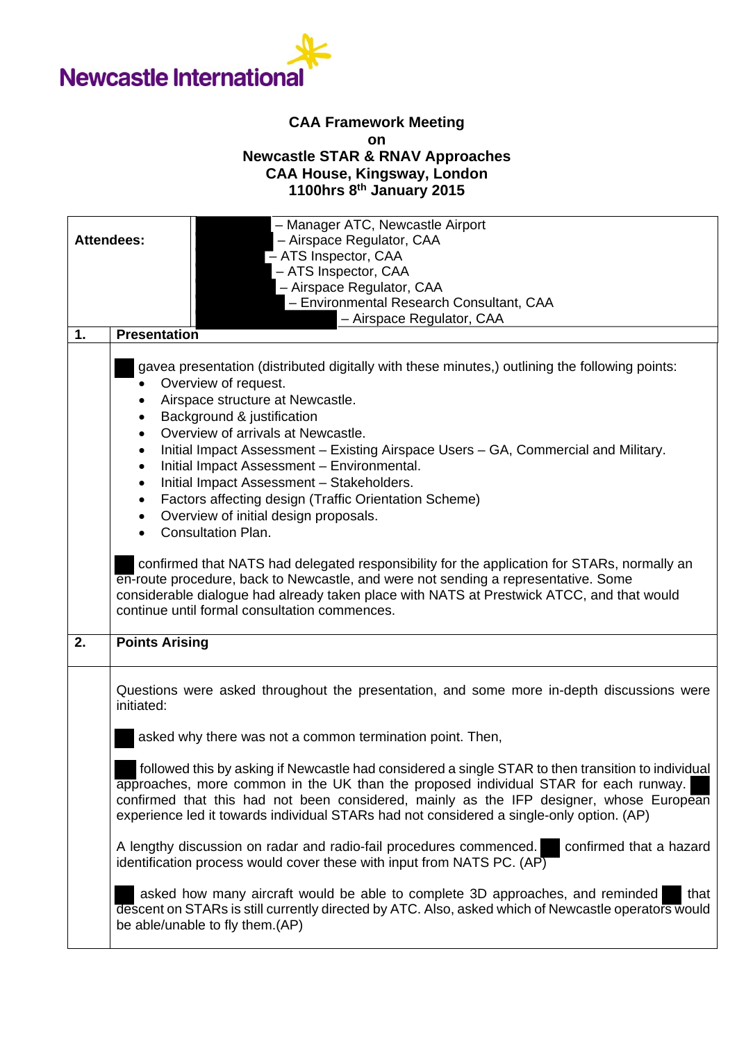

## **CAA Framework Meeting on Newcastle STAR & RNAV Approaches CAA House, Kingsway, London 1100hrs 8th January 2015**

| - Manager ATC, Newcastle Airport<br>- Airspace Regulator, CAA<br><b>Attendees:</b><br>- ATS Inspector, CAA<br>- ATS Inspector, CAA<br>- Airspace Regulator, CAA<br>- Environmental Research Consultant, CAA<br>- Airspace Regulator, CAA |                                                                                                                                                                                                                                                                                                                                                                                                                                                                                                                                                                                                 |
|------------------------------------------------------------------------------------------------------------------------------------------------------------------------------------------------------------------------------------------|-------------------------------------------------------------------------------------------------------------------------------------------------------------------------------------------------------------------------------------------------------------------------------------------------------------------------------------------------------------------------------------------------------------------------------------------------------------------------------------------------------------------------------------------------------------------------------------------------|
| 1.                                                                                                                                                                                                                                       | <b>Presentation</b>                                                                                                                                                                                                                                                                                                                                                                                                                                                                                                                                                                             |
|                                                                                                                                                                                                                                          | gavea presentation (distributed digitally with these minutes,) outlining the following points:<br>Overview of request.<br>Airspace structure at Newcastle.<br>Background & justification<br>$\bullet$<br>Overview of arrivals at Newcastle.<br>Initial Impact Assessment - Existing Airspace Users - GA, Commercial and Military.<br>٠<br>Initial Impact Assessment - Environmental.<br>٠<br>Initial Impact Assessment - Stakeholders.<br>$\bullet$<br>Factors affecting design (Traffic Orientation Scheme)<br>$\bullet$<br>Overview of initial design proposals.<br><b>Consultation Plan.</b> |
|                                                                                                                                                                                                                                          | confirmed that NATS had delegated responsibility for the application for STARs, normally an<br>en-route procedure, back to Newcastle, and were not sending a representative. Some<br>considerable dialogue had already taken place with NATS at Prestwick ATCC, and that would<br>continue until formal consultation commences.                                                                                                                                                                                                                                                                 |
| 2.                                                                                                                                                                                                                                       | <b>Points Arising</b>                                                                                                                                                                                                                                                                                                                                                                                                                                                                                                                                                                           |
|                                                                                                                                                                                                                                          | Questions were asked throughout the presentation, and some more in-depth discussions were<br>initiated:                                                                                                                                                                                                                                                                                                                                                                                                                                                                                         |
|                                                                                                                                                                                                                                          | asked why there was not a common termination point. Then,                                                                                                                                                                                                                                                                                                                                                                                                                                                                                                                                       |
|                                                                                                                                                                                                                                          | followed this by asking if Newcastle had considered a single STAR to then transition to individual<br>approaches, more common in the UK than the proposed individual STAR for each runway.<br>confirmed that this had not been considered, mainly as the IFP designer, whose European<br>experience led it towards individual STARs had not considered a single-only option. (AP)                                                                                                                                                                                                               |
|                                                                                                                                                                                                                                          | A lengthy discussion on radar and radio-fail procedures commenced.<br>confirmed that a hazard<br>identification process would cover these with input from NATS PC. (AP)                                                                                                                                                                                                                                                                                                                                                                                                                         |
|                                                                                                                                                                                                                                          | asked how many aircraft would be able to complete 3D approaches, and reminded<br>that<br>descent on STARs is still currently directed by ATC. Also, asked which of Newcastle operators would<br>be able/unable to fly them.(AP)                                                                                                                                                                                                                                                                                                                                                                 |